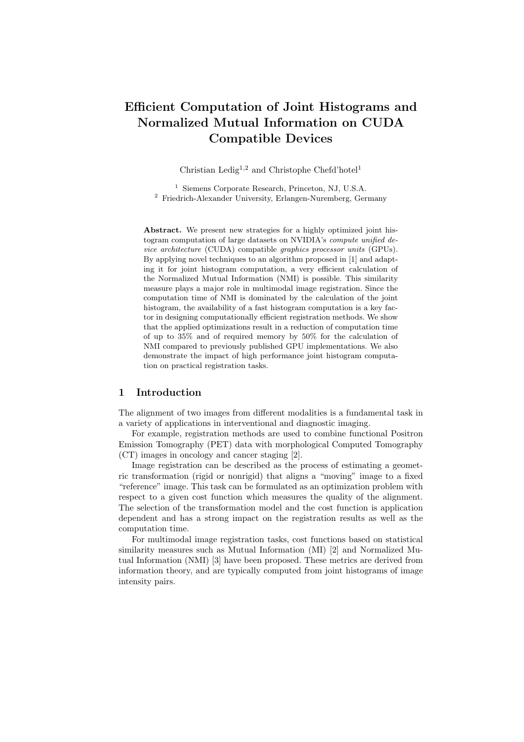# **Efficient Computation of Joint Histograms and Normalized Mutual Information on CUDA Compatible Devices**

Christian Ledig<sup>1,2</sup> and Christophe Chefd'hotel<sup>1</sup>

<sup>1</sup> Siemens Corporate Research, Princeton, NJ, U.S.A. <sup>2</sup> Friedrich-Alexander University, Erlangen-Nuremberg, Germany

**Abstract.** We present new strategies for a highly optimized joint histogram computation of large datasets on NVIDIA's *compute unified device architecture* (CUDA) compatible *graphics processor units* (GPUs). By applying novel techniques to an algorithm proposed in [1] and adapting it for joint histogram computation, a very efficient calculation of the Normalized Mutual Information (NMI) is possible. This similarity measure plays a major role in multimodal image registration. Since the computation time of NMI is dominated by the calculation of the joint histogram, the availability of a fast histogram computation is a key factor in designing computationally efficient registration methods. We show that the applied optimizations result in a reduction of computation time of up to 35% and of required memory by 50% for the calculation of NMI compared to previously published GPU implementations. We also demonstrate the impact of high performance joint histogram computation on practical registration tasks.

#### **1 Introduction**

The alignment of two images from different modalities is a fundamental task in a variety of applications in interventional and diagnostic imaging.

For example, registration methods are used to combine functional Positron Emission Tomography (PET) data with morphological Computed Tomography (CT) images in oncology and cancer staging [2].

Image registration can be described as the process of estimating a geometric transformation (rigid or nonrigid) that aligns a "moving" image to a fixed "reference" image. This task can be formulated as an optimization problem with respect to a given cost function which measures the quality of the alignment. The selection of the transformation model and the cost function is application dependent and has a strong impact on the registration results as well as the computation time.

For multimodal image registration tasks, cost functions based on statistical similarity measures such as Mutual Information (MI) [2] and Normalized Mutual Information (NMI) [3] have been proposed. These metrics are derived from information theory, and are typically computed from joint histograms of image intensity pairs.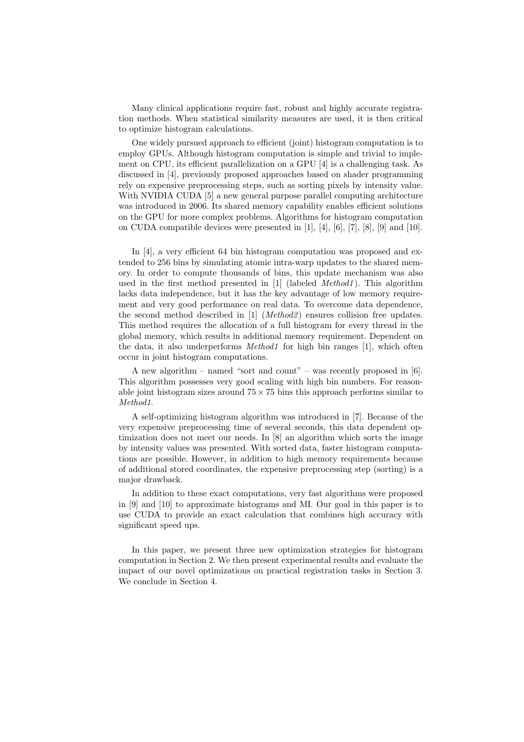Many clinical applications require fast, robust and highly accurate registration methods. When statistical similarity measures are used, it is then critical to optimize histogram calculations.

One widely pursued approach to efficient (joint) histogram computation is to employ GPUs. Although histogram computation is simple and trivial to implement on CPU, its efficient parallelization on a GPU [4] is a challenging task. As discussed in [4], previously proposed approaches based on shader programming rely on expensive preprocessing steps, such as sorting pixels by intensity value. With NVIDIA CUDA [5] a new general purpose parallel computing architecture was introduced in 2006. Its shared memory capability enables efficient solutions on the GPU for more complex problems. Algorithms for histogram computation on CUDA compatible devices were presented in [1], [4], [6], [7], [8], [9] and [10].

In [4], a very efficient 64 bin histogram computation was proposed and extended to 256 bins by simulating atomic intra-warp updates to the shared memory. In order to compute thousands of bins, this update mechanism was also used in the first method presented in [1] (labeled *Method1* ). This algorithm lacks data independence, but it has the key advantage of low memory requirement and very good performance on real data. To overcome data dependence, the second method described in [1] (*Method2* ) ensures collision free updates. This method requires the allocation of a full histogram for every thread in the global memory, which results in additional memory requirement. Dependent on the data, it also underperforms *Method1* for high bin ranges [1], which often occur in joint histogram computations.

A new algorithm – named "sort and count" – was recently proposed in  $[6]$ . This algorithm possesses very good scaling with high bin numbers. For reasonable joint histogram sizes around  $75 \times 75$  bins this approach performs similar to *Method1*.

A self-optimizing histogram algorithm was introduced in [7]. Because of the very expensive preprocessing time of several seconds, this data dependent optimization does not meet our needs. In [8] an algorithm which sorts the image by intensity values was presented. With sorted data, faster histogram computations are possible. However, in addition to high memory requirements because of additional stored coordinates, the expensive preprocessing step (sorting) is a major drawback.

In addition to these exact computations, very fast algorithms were proposed in [9] and [10] to approximate histograms and MI. Our goal in this paper is to use CUDA to provide an exact calculation that combines high accuracy with significant speed ups.

In this paper, we present three new optimization strategies for histogram computation in Section 2. We then present experimental results and evaluate the impact of our novel optimizations on practical registration tasks in Section 3. We conclude in Section 4.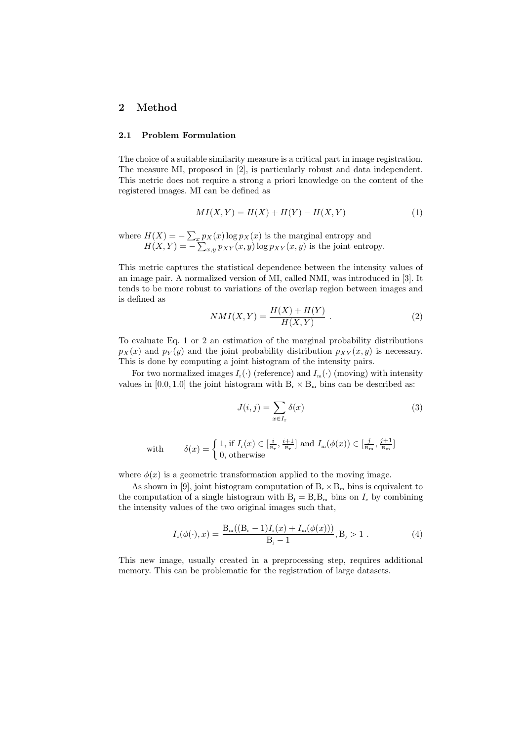# **2 Method**

#### **2.1 Problem Formulation**

The choice of a suitable similarity measure is a critical part in image registration. The measure MI, proposed in [2], is particularly robust and data independent. This metric does not require a strong a priori knowledge on the content of the registered images. MI can be defined as

$$
MI(X,Y) = H(X) + H(Y) - H(X,Y)
$$
 (1)

where  $H(X) = -\sum_{x} p_X(x) \log p_X(x)$  is the marginal entropy and  $H(X,Y) = -\sum_{x,y} p_{XY}(x,y) \log p_{XY}(x,y)$  is the joint entropy.

This metric captures the statistical dependence between the intensity values of an image pair. A normalized version of MI, called NMI, was introduced in [3]. It tends to be more robust to variations of the overlap region between images and is defined as

$$
NMI(X,Y) = \frac{H(X) + H(Y)}{H(X,Y)}.
$$
\n(2)

To evaluate Eq. 1 or 2 an estimation of the marginal probability distributions  $p_X(x)$  and  $p_Y(y)$  and the joint probability distribution  $p_{XY}(x, y)$  is necessary. This is done by computing a joint histogram of the intensity pairs.

For two normalized images  $I_r(\cdot)$  (reference) and  $I_m(\cdot)$  (moving) with intensity values in  $[0.0, 1.0]$  the joint histogram with  $B_r \times B_m$  bins can be described as:

$$
J(i,j) = \sum_{x \in I_r} \delta(x) \tag{3}
$$

with 
$$
\delta(x) = \begin{cases} 1, \text{ if } I_r(x) \in \left[\frac{i}{B_r}, \frac{i+1}{B_r}\right] \text{ and } I_m(\phi(x)) \in \left[\frac{j}{B_m}, \frac{j+1}{B_m}\right] \\ 0, \text{ otherwise} \end{cases}
$$

where  $\phi(x)$  is a geometric transformation applied to the moving image.

As shown in [9], joint histogram computation of  $B_r \times B_m$  bins is equivalent to the computation of a single histogram with  $B_i = B_i B_m$  bins on  $I_c$  by combining the intensity values of the two original images such that,

$$
I_c(\phi(\cdot), x) = \frac{B_m((B_r - 1)I_r(x) + I_m(\phi(x)))}{B_j - 1}, B_j > 1.
$$
 (4)

This new image, usually created in a preprocessing step, requires additional memory. This can be problematic for the registration of large datasets.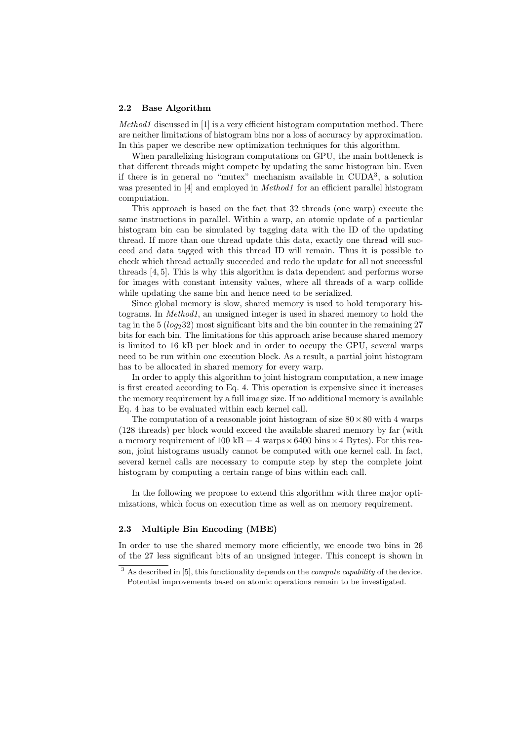#### **2.2 Base Algorithm**

*Method1* discussed in [1] is a very efficient histogram computation method. There are neither limitations of histogram bins nor a loss of accuracy by approximation. In this paper we describe new optimization techniques for this algorithm.

When parallelizing histogram computations on GPU, the main bottleneck is that different threads might compete by updating the same histogram bin. Even if there is in general no "mutex" mechanism available in CUDA<sup>3</sup> , a solution was presented in [4] and employed in *Method1* for an efficient parallel histogram computation.

This approach is based on the fact that 32 threads (one warp) execute the same instructions in parallel. Within a warp, an atomic update of a particular histogram bin can be simulated by tagging data with the ID of the updating thread. If more than one thread update this data, exactly one thread will succeed and data tagged with this thread ID will remain. Thus it is possible to check which thread actually succeeded and redo the update for all not successful threads [4, 5]. This is why this algorithm is data dependent and performs worse for images with constant intensity values, where all threads of a warp collide while updating the same bin and hence need to be serialized.

Since global memory is slow, shared memory is used to hold temporary histograms. In *Method1*, an unsigned integer is used in shared memory to hold the tag in the  $5 (log_2 32)$  most significant bits and the bin counter in the remaining 27 bits for each bin. The limitations for this approach arise because shared memory is limited to 16 kB per block and in order to occupy the GPU, several warps need to be run within one execution block. As a result, a partial joint histogram has to be allocated in shared memory for every warp.

In order to apply this algorithm to joint histogram computation, a new image is first created according to Eq. 4. This operation is expensive since it increases the memory requirement by a full image size. If no additional memory is available Eq. 4 has to be evaluated within each kernel call.

The computation of a reasonable joint histogram of size  $80 \times 80$  with 4 warps (128 threads) per block would exceed the available shared memory by far (with a memory requirement of 100 kB = 4 warps  $\times$  6400 bins  $\times$  4 Bytes). For this reason, joint histograms usually cannot be computed with one kernel call. In fact, several kernel calls are necessary to compute step by step the complete joint histogram by computing a certain range of bins within each call.

In the following we propose to extend this algorithm with three major optimizations, which focus on execution time as well as on memory requirement.

#### **2.3 Multiple Bin Encoding (MBE)**

In order to use the shared memory more efficiently, we encode two bins in 26 of the 27 less significant bits of an unsigned integer. This concept is shown in

<sup>3</sup> As described in [5], this functionality depends on the *compute capability* of the device. Potential improvements based on atomic operations remain to be investigated.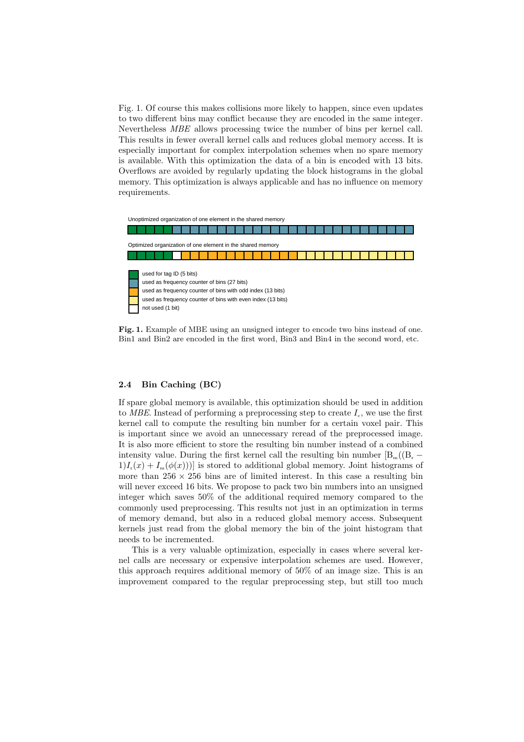Fig. 1. Of course this makes collisions more likely to happen, since even updates to two different bins may conflict because they are encoded in the same integer. Nevertheless *MBE* allows processing twice the number of bins per kernel call. This results in fewer overall kernel calls and reduces global memory access. It is especially important for complex interpolation schemes when no spare memory is available. With this optimization the data of a bin is encoded with 13 bits. Overflows are avoided by regularly updating the block histograms in the global memory. This optimization is always applicable and has no influence on memory requirements.



**Fig. 1.** Example of MBE using an unsigned integer to encode two bins instead of one. Bin1 and Bin2 are encoded in the first word, Bin3 and Bin4 in the second word, etc.

#### **2.4 Bin Caching (BC)**

If spare global memory is available, this optimization should be used in addition to *MBE*. Instead of performing a preprocessing step to create  $I_c$ , we use the first kernel call to compute the resulting bin number for a certain voxel pair. This is important since we avoid an unnecessary reread of the preprocessed image. It is also more efficient to store the resulting bin number instead of a combined intensity value. During the first kernel call the resulting bin number  $[B_m((B_r 1/I_r(x) + I_m(\phi(x))$  is stored to additional global memory. Joint histograms of more than  $256 \times 256$  bins are of limited interest. In this case a resulting bin will never exceed 16 bits. We propose to pack two bin numbers into an unsigned integer which saves 50% of the additional required memory compared to the commonly used preprocessing. This results not just in an optimization in terms of memory demand, but also in a reduced global memory access. Subsequent kernels just read from the global memory the bin of the joint histogram that needs to be incremented.

This is a very valuable optimization, especially in cases where several kernel calls are necessary or expensive interpolation schemes are used. However, this approach requires additional memory of 50% of an image size. This is an improvement compared to the regular preprocessing step, but still too much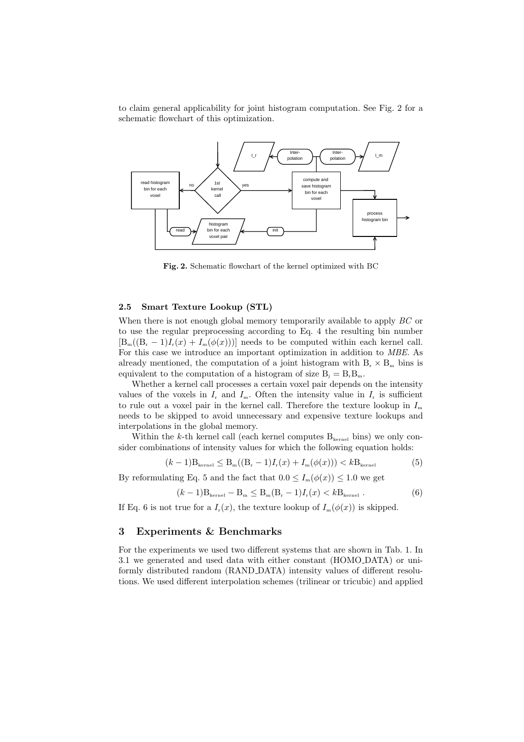to claim general applicability for joint histogram computation. See Fig. 2 for a schematic flowchart of this optimization.



**Fig. 2.** Schematic flowchart of the kernel optimized with BC

#### **2.5 Smart Texture Lookup (STL)**

When there is not enough global memory temporarily available to apply *BC* or to use the regular preprocessing according to Eq. 4 the resulting bin number  $[B_m((B_r-1)I_r(x) + I_m(\phi(x)))]$  needs to be computed within each kernel call. For this case we introduce an important optimization in addition to *MBE*. As already mentioned, the computation of a joint histogram with  $B_r \times B_m$  bins is equivalent to the computation of a histogram of size  $B_i = B_r B_m$ .

Whether a kernel call processes a certain voxel pair depends on the intensity values of the voxels in  $I_r$  and  $I_m$ . Often the intensity value in  $I_r$  is sufficient to rule out a voxel pair in the kernel call. Therefore the texture lookup in  $I_m$ needs to be skipped to avoid unnecessary and expensive texture lookups and interpolations in the global memory.

Within the  $k$ -th kernel call (each kernel computes  $B_{\text{kernel}}$  bins) we only consider combinations of intensity values for which the following equation holds:

$$
(k-1)B_{\text{kernel}} \le B_{\text{m}}((B_{\text{r}}-1)I_{\text{r}}(x) + I_{\text{m}}(\phi(x))) < kB_{\text{kernel}}
$$
(5)

By reformulating Eq. 5 and the fact that  $0.0 \leq I_m(\phi(x)) \leq 1.0$  we get

$$
(k-1)B_{\text{kernel}} - B_{\text{m}} \le B_{\text{m}}(B_{\text{r}} - 1)I_{\text{r}}(x) < kB_{\text{kernel}} \tag{6}
$$

If Eq. 6 is not true for a  $I_r(x)$ , the texture lookup of  $I_m(\phi(x))$  is skipped.

### **3 Experiments & Benchmarks**

For the experiments we used two different systems that are shown in Tab. 1. In 3.1 we generated and used data with either constant (HOMO DATA) or uniformly distributed random (RAND DATA) intensity values of different resolutions. We used different interpolation schemes (trilinear or tricubic) and applied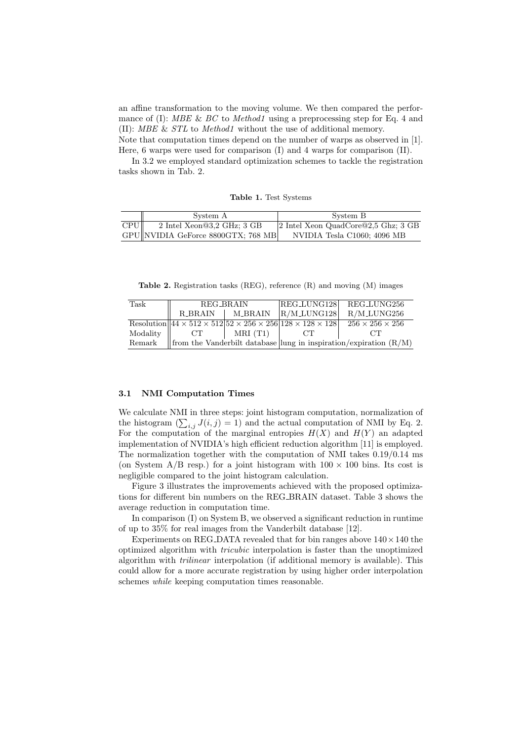an affine transformation to the moving volume. We then compared the performance of (I): *MBE* & *BC* to *Method1* using a preprocessing step for Eq. 4 and (II): *MBE* & *STL* to *Method1* without the use of additional memory. Note that computation times depend on the number of warps as observed in [1]. Here, 6 warps were used for comparison (I) and 4 warps for comparison (II).

In 3.2 we employed standard optimization schemes to tackle the registration tasks shown in Tab. 2.

|  |  |  | Table 1. Test Systems |
|--|--|--|-----------------------|
|--|--|--|-----------------------|

|     | System A                             | System B                               |
|-----|--------------------------------------|----------------------------------------|
| CPU | $2$ Intel Xeon@3,2 GHz; 3 GB         | 2 Intel Xeon QuadCore $@2,5$ Ghz; 3 GB |
|     | $GPU$ NVIDIA GeForce 8800GTX; 768 MB | NVIDIA Tesla C1060; 4096 MB            |

**Table 2.** Registration tasks (REG), reference (R) and moving (M) images

| Task     | REG_BRAIN |                   | REG_LUNG128                                                                                  | REG_LUNG256                                                         |
|----------|-----------|-------------------|----------------------------------------------------------------------------------------------|---------------------------------------------------------------------|
|          |           |                   |                                                                                              |                                                                     |
|          |           | R_BRAIN   M_BRAIN | $R/M_LUNG128$                                                                                | $R/M$ <sub>LUNG256</sub>                                            |
|          |           |                   | Resolution $44 \times 512 \times 512$ $52 \times 256 \times 256$ $128 \times 128 \times 128$ | $256 \times 256 \times 256$                                         |
| Modality | CT        | MRI(T1)           | CT.                                                                                          | CT                                                                  |
| Remark   |           |                   |                                                                                              | from the Vanderbilt database lung in inspiration/expiration $(R/M)$ |

#### **3.1 NMI Computation Times**

We calculate NMI in three steps: joint histogram computation, normalization of the histogram  $(\sum_{i,j} J(i,j) = 1)$  and the actual computation of NMI by Eq. 2. For the computation of the marginal entropies  $H(X)$  and  $H(Y)$  an adapted implementation of NVIDIA's high efficient reduction algorithm [11] is employed. The normalization together with the computation of NMI takes 0.19/0.14 ms (on System  $A/B$  resp.) for a joint histogram with  $100 \times 100$  bins. Its cost is negligible compared to the joint histogram calculation.

Figure 3 illustrates the improvements achieved with the proposed optimizations for different bin numbers on the REG BRAIN dataset. Table 3 shows the average reduction in computation time.

In comparison (I) on System B, we observed a significant reduction in runtime of up to 35% for real images from the Vanderbilt database [12].

Experiments on REG DATA revealed that for bin ranges above 140*×*140 the optimized algorithm with *tricubic* interpolation is faster than the unoptimized algorithm with *trilinear* interpolation (if additional memory is available). This could allow for a more accurate registration by using higher order interpolation schemes *while* keeping computation times reasonable.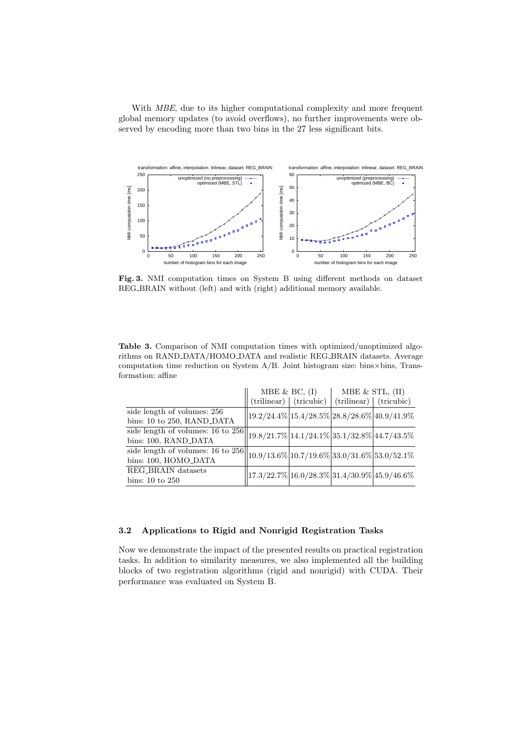With *MBE*, due to its higher computational complexity and more frequent global memory updates (to avoid overflows), no further improvements were observed by encoding more than two bins in the 27 less significant bits.



**Fig. 3.** NMI computation times on System B using different methods on dataset REG BRAIN without (left) and with (right) additional memory available.

| <b>Table 3.</b> Comparison of NMI computation times with optimized/unoptimized algo-          |  |
|-----------------------------------------------------------------------------------------------|--|
| rithms on RAND_DATA/HOMO_DATA and realistic REG_BRAIN datasets. Average                       |  |
| computation time reduction on System $A/B$ . Joint histogram size: bins $\times$ bins, Trans- |  |
| formation: affine-                                                                            |  |

|                                                                                                       | MBE & BC, $(I)$                                                             |                                          | MBE $&$ STL, $(II)$ |                                 |
|-------------------------------------------------------------------------------------------------------|-----------------------------------------------------------------------------|------------------------------------------|---------------------|---------------------------------|
|                                                                                                       |                                                                             | $(\text{trilinear})$ $(\text{tricubic})$ |                     | $(\text{trilinear})$ (tricubic) |
| side length of volumes: 256<br>bins: 10 to 250, RAND_DATA                                             | $\frac{1}{9}.2/24.4\%$ 15.4/28.5% 28.8/28.6% 40.9/41.9%                     |                                          |                     |                                 |
| side length of volumes: 16 to 256 19.8/21.7% 14.1/24.1% 35.1/32.8% 44.7/43.5%<br>bins: 100, RAND_DATA |                                                                             |                                          |                     |                                 |
| side length of volumes: $16$ to $256$<br>bins: 100, HOMO_DATA                                         | $10.9/13.6\%$ 10.7/19.6% 33.0/31.6% 53.0/52.1%                              |                                          |                     |                                 |
| REG <sub>-BRAIN</sub> datasets<br>bins: $10 \text{ to } 250$                                          | $\left 17.3/22.7\% \right 16.0/28.3\% \left 31.4/30.9\% \right 45.9/46.6\%$ |                                          |                     |                                 |

# **3.2 Applications to Rigid and Nonrigid Registration Tasks**

Now we demonstrate the impact of the presented results on practical registration tasks. In addition to similarity measures, we also implemented all the building blocks of two registration algorithms (rigid and nonrigid) with CUDA. Their performance was evaluated on System B.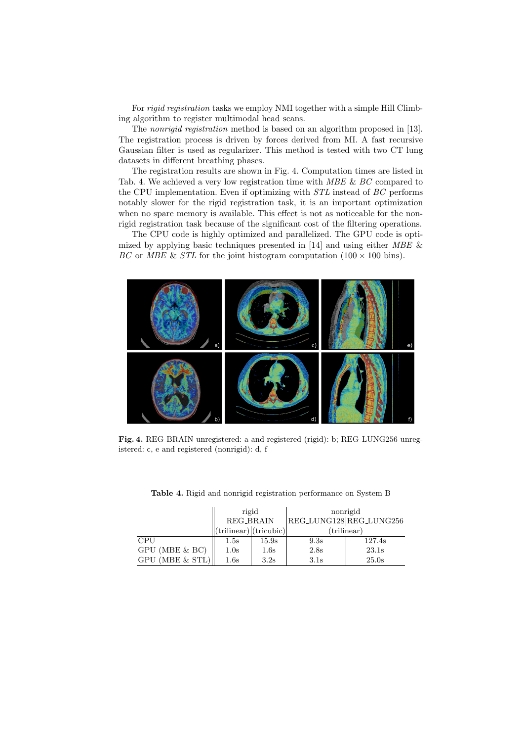For *rigid registration* tasks we employ NMI together with a simple Hill Climbing algorithm to register multimodal head scans.

The *nonrigid registration* method is based on an algorithm proposed in [13]. The registration process is driven by forces derived from MI. A fast recursive Gaussian filter is used as regularizer. This method is tested with two CT lung datasets in different breathing phases.

The registration results are shown in Fig. 4. Computation times are listed in Tab. 4. We achieved a very low registration time with *MBE* & *BC* compared to the CPU implementation. Even if optimizing with *STL* instead of *BC* performs notably slower for the rigid registration task, it is an important optimization when no spare memory is available. This effect is not as noticeable for the nonrigid registration task because of the significant cost of the filtering operations.

The CPU code is highly optimized and parallelized. The GPU code is optimized by applying basic techniques presented in [14] and using either *MBE* & *BC* or *MBE* & *STL* for the joint histogram computation  $(100 \times 100 \text{ bins})$ .



Fig. 4. REG\_BRAIN unregistered: a and registered (rigid): b; REG\_LUNG256 unregistered: c, e and registered (nonrigid): d, f

|                      | rigid                    |       | nonrigid                |        |  |
|----------------------|--------------------------|-------|-------------------------|--------|--|
|                      | <b>REG_BRAIN</b>         |       | REG_LUNG128 REG_LUNG256 |        |  |
|                      | (trilinear)   (tricubic) |       | $(\text{trilinear})$    |        |  |
| <b>CPU</b>           | $1.5\mathrm{s}$          | 15.9s | 9.3s                    | 127.4s |  |
| GPU (MBE & BC)       | 1.0s                     | 1.6s  | 2.8s                    | 23.1s  |  |
| $GPU$ (MBE $\&$ STL) | 1.6s                     | 3.2s  | 3.1s                    | 25.0s  |  |

**Table 4.** Rigid and nonrigid registration performance on System B